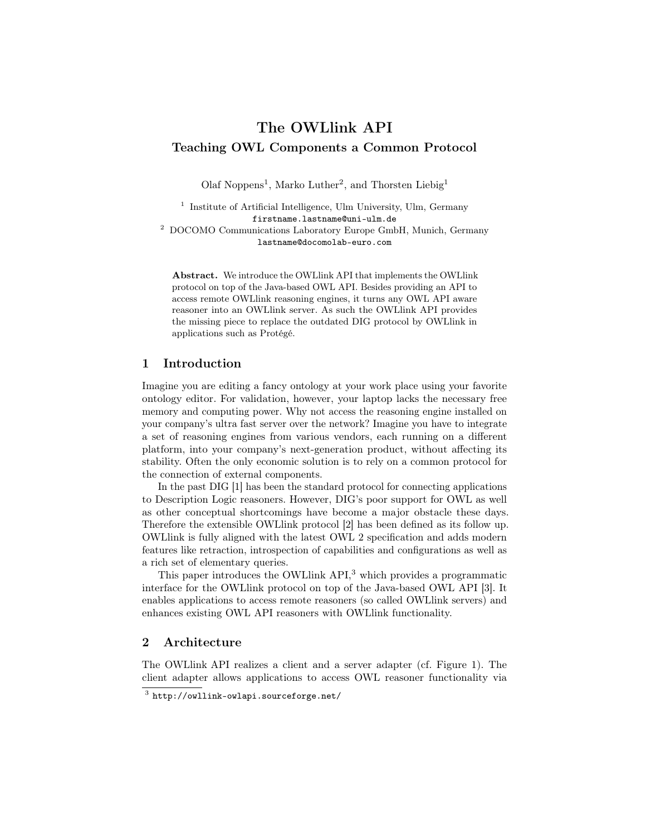# The OWLlink API Teaching OWL Components a Common Protocol

Olaf Noppens<sup>1</sup>, Marko Luther<sup>2</sup>, and Thorsten Liebig<sup>1</sup>

<sup>1</sup> Institute of Artificial Intelligence, Ulm University, Ulm, Germany firstname.lastname@uni-ulm.de <sup>2</sup> DOCOMO Communications Laboratory Europe GmbH, Munich, Germany lastname@docomolab-euro.com

Abstract. We introduce the OWLlink API that implements the OWLlink protocol on top of the Java-based OWL API. Besides providing an API to access remote OWLlink reasoning engines, it turns any OWL API aware reasoner into an OWLlink server. As such the OWLlink API provides the missing piece to replace the outdated DIG protocol by OWLlink in applications such as Protégé.

#### 1 Introduction

Imagine you are editing a fancy ontology at your work place using your favorite ontology editor. For validation, however, your laptop lacks the necessary free memory and computing power. Why not access the reasoning engine installed on your company's ultra fast server over the network? Imagine you have to integrate a set of reasoning engines from various vendors, each running on a different platform, into your company's next-generation product, without affecting its stability. Often the only economic solution is to rely on a common protocol for the connection of external components.

In the past DIG [\[1\]](#page-3-0) has been the standard protocol for connecting applications to Description Logic reasoners. However, DIG's poor support for OWL as well as other conceptual shortcomings have become a major obstacle these days. Therefore the extensible OWLlink protocol [\[2\]](#page-3-1) has been defined as its follow up. OWLlink is fully aligned with the latest OWL 2 specification and adds modern features like retraction, introspection of capabilities and configurations as well as a rich set of elementary queries.

This paper introduces the OWLlink API,<sup>3</sup> which provides a programmatic interface for the OWLlink protocol on top of the Java-based OWL API [\[3\]](#page-3-2). It enables applications to access remote reasoners (so called OWLlink servers) and enhances existing OWL API reasoners with OWLlink functionality.

# 2 Architecture

The OWLlink API realizes a client and a server adapter (cf. Figure [1\)](#page-1-0). The client adapter allows applications to access OWL reasoner functionality via

 $^3$  http://owllink-owlapi.sourceforge.net/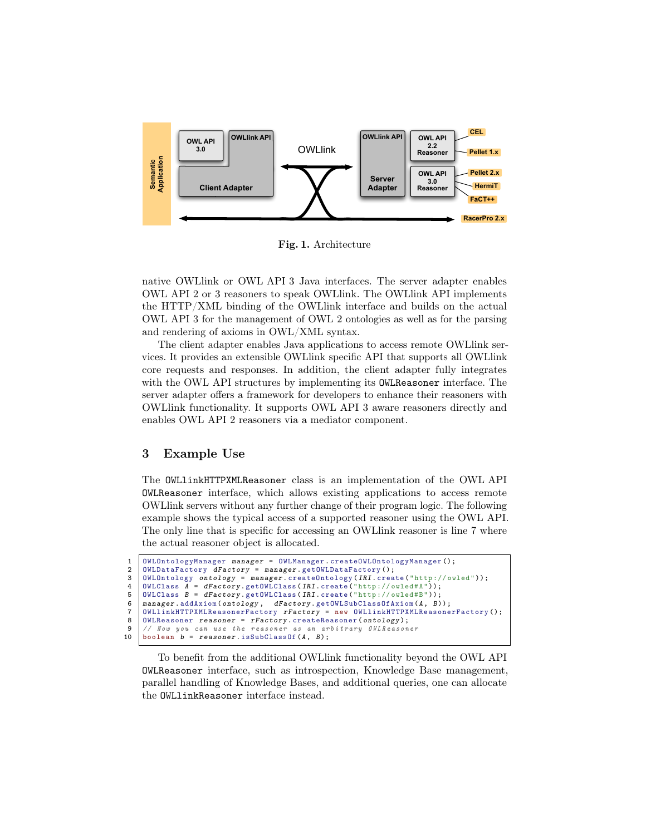

<span id="page-1-0"></span>Fig. 1. Architecture

native OWLlink or OWL API 3 Java interfaces. The server adapter enables OWL API 2 or 3 reasoners to speak OWLlink. The OWLlink API implements the HTTP/XML binding of the OWLlink interface and builds on the actual OWL API 3 for the management of OWL 2 ontologies as well as for the parsing and rendering of axioms in OWL/XML syntax.

The client adapter enables Java applications to access remote OWLlink services. It provides an extensible OWLlink specific API that supports all OWLlink core requests and responses. In addition, the client adapter fully integrates with the OWL API structures by implementing its OWLReasoner interface. The server adapter offers a framework for developers to enhance their reasoners with OWLlink functionality. It supports OWL API 3 aware reasoners directly and enables OWL API 2 reasoners via a mediator component.

#### 3 Example Use

The OWLlinkHTTPXMLReasoner class is an implementation of the OWL API OWLReasoner interface, which allows existing applications to access remote OWLlink servers without any further change of their program logic. The following example shows the typical access of a supported reasoner using the OWL API. The only line that is specific for accessing an OWLlink reasoner is line 7 where the actual reasoner object is allocated.

```
1 | OWLOntologyManager manager = OWLManager.createOWLOntologyManager();
 2 OWLDataFactory dFactory = manager.getOWLDataFactory();<br>3 OWLOntology ontology = manager.createOntology(IRI.crea
     3 OWLOntology ontology = manager . createOntology ( IRI . create (" http :// owled " ));
 4 OWLClass A = dFactory . getOWLClass ( IRI . create (" http :// owled #A" ));
5 OWLClass B = dFactory . getOWLClass ( IRI . create (" http :// owled #B" ));
 6 | manager.addAxiom(ontology, dFactory.getOWLSubClassOfAxiom(A, B));
 7 OWLIINKHTTPXMLReasonerFactory rFactory = new OWLIINKHTTPXMLReasonerFactory ();<br>8 OWLBeasoner reasoner = rFactory createReasoner(ontology);
     OWLReasoner reasoner = rFactory. createReasoner (ontology);
9 \frac{9}{10} // Now you can use the reasoner as an arbitrary OWLReasoner<br>10 boolean b = reasoner.isSubClassOf(A, B);
     boolean b = reasoner.isSubClassOf(A, B);
```
To benefit from the additional OWLlink functionality beyond the OWL API OWLReasoner interface, such as introspection, Knowledge Base management, parallel handling of Knowledge Bases, and additional queries, one can allocate the OWLlinkReasoner interface instead.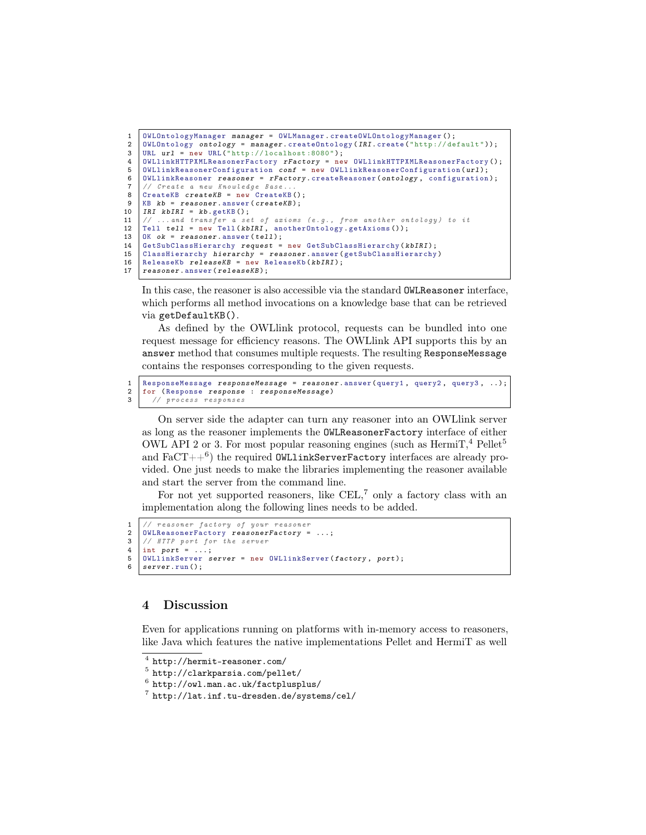```
1 OWLOntologyManager manager = OWLManager.createOWLOntologyManager();<br>2 OWLOntology ontology = manager.createOntology(IRI.create("http://de
 2 OWLOntology ontology = manager.createOntology (IRI.create ("http://default"));<br>3 URL url = new URL("http://localhost:8080");
 3 URL url = new URL ("http://localhost:8080");<br>4 OWLlinkHTTPXMLReasonerFactory rFactory = new
      4 OWLlinkHTTPXMLReasonerFactory rFactory = new OWLlinkHTTPXMLReasonerFactory ();
 5 OWLlinkReasonerConfiguration conf = new OWLlinkReasonerConfiguration (url);<br>6 OWLlinkReasoner reasoner = rFactory.createReasoner(ontology.configuration
 6 OWLLinkReasoner reasoner = rFactory.createReasoner (ontology, configuration);<br>7 // Create a new Knowledge Base...
 7 // Create a new Knowledge Base.<br>8 CreateKB createKB = new CreateKE
 8 CreateKB createKB = new CreateKB();<br>9 KB kb = reasoner.answer(createKB):
9 KB kb = reasoner.answer(createKB);<br>10 IRI kbIRI = kb.getKB();
10 \begin{array}{|l|l|} \n10 & IRI & kbIRI = kb.getKB();\n11 & // ... and transfer a se\n\end{array}11 \frac{1}{12} ... and transfer a set of axioms (e.g., from another ontology) to it <br>12 Tell tell = new Tell (kbIRI, another Ontology, getAxioms ());
      Tell tell = new Tell (kbIRI, anotherOntology.getAxioms());
13 OK ok = reasoner.answer(tell);<br>14 GetSubClassHierarchy request =
      GetSubClassHierarchy request = new GetSubClassHierarchy (kbIRI);
15 ClassHierarchy hierarchy = reasoner. answer (getSubClassHierarchy)
16 ReleaseKb releaseKB = new ReleaseKb (kbIRI);<br>17 reasoner answer (releaseKB):
      reasoner.answer (releaseKB);
```
In this case, the reasoner is also accessible via the standard OWLReasoner interface, which performs all method invocations on a knowledge base that can be retrieved via getDefaultKB().

As defined by the OWLlink protocol, requests can be bundled into one request message for efficiency reasons. The OWLlink API supports this by an answer method that consumes multiple requests. The resulting ResponseMessage contains the responses corresponding to the given requests.

```
1 ResponseMessage responseMessage = reasoner . answer (query1 , query2 , query3 , ..);
2 for (Response response : responseMessage)<br>3 // process responses
     3 // process responses
```
On server side the adapter can turn any reasoner into an OWLlink server as long as the reasoner implements the OWLReasonerFactory interface of either OWL API 2 or 3. For most popular reasoning engines (such as  $HermiT$ ,  $4$  Pellet<sup>5</sup> and  $\text{FaCT}\!+\!+^6)$  the required <code>OWL1inkServerFactory</code> interfaces are already provided. One just needs to make the libraries implementing the reasoner available and start the server from the command line.

For not yet supported reasoners, like CEL, $^7$  only a factory class with an implementation along the following lines needs to be added.

```
1 // reasoner factory of your reasoner
2 OWLReasonerFactory reasonerFactory = ...;
\begin{array}{c|cc}\n3 & // & \n\end{array} \begin{array}{c}\n3 & \n\end{array} int port =
    int port = ...;5 OWLlinkServer server = new OWLlinkServer (factory, port);
6 \vert server. run ();
```
## 4 Discussion

Even for applications running on platforms with in-memory access to reasoners, like Java which features the native implementations Pellet and HermiT as well

```
5
http://clarkparsia.com/pellet/
```

```
^6 http://owl.man.ac.uk/factplusplus/
```
 $^4$  http://hermit-reasoner.com/

 $7$  http://lat.inf.tu-dresden.de/systems/cel/